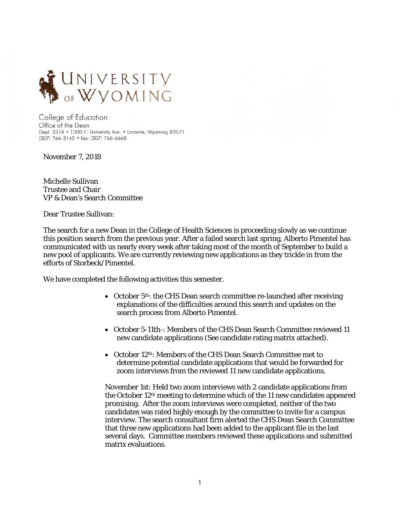

College of Education Office of the Dean Dept. 3374 . 1000 E. University Ave. . Laramie, Wyoming 82071 (307) 766-3145 · fax: (307) 766-6668

November 7, 2018

Michelle Sullivan Trustee and Chair VP & Dean's Search Committee

Dear Trustee Sullivan:

The search for a new Dean in the College of Health Sciences is proceeding slowly as we continue this position search from the previous year. After a failed search last spring, Alberto Pimentel has communicated with us nearly every week after taking most of the month of September to build a new pool of applicants. We are currently reviewing new applications as they trickle in from the efforts of Storbeck/Pimentel.

We have completed the following activities this semester.

- October  $5<sup>th</sup>$ : the CHS Dean search committee re-launched after receiving explanations of the difficulties around this search and updates on the search process from Alberto Pimentel.
- October 5-11th-: Members of the CHS Dean Search Committee reviewed 11 new candidate applications (See candidate rating matrix attached).
- October 12<sup>th</sup>: Members of the CHS Dean Search Committee met to determine potential candidate applications that would be forwarded for zoom interviews from the reviewed 11 new candidate applications.

November 1st: Held two zoom interviews with 2 candidate applications from the October 12th meeting to determine which of the 11 new candidates appeared promising. After the zoom interviews were completed, neither of the two candidates was rated highly enough by the committee to invite for a campus interview. The search consultant firm alerted the CHS Dean Search Committee that three new applications had been added to the applicant file in the last several days. Committee members reviewed these applications and submitted matrix evaluations.